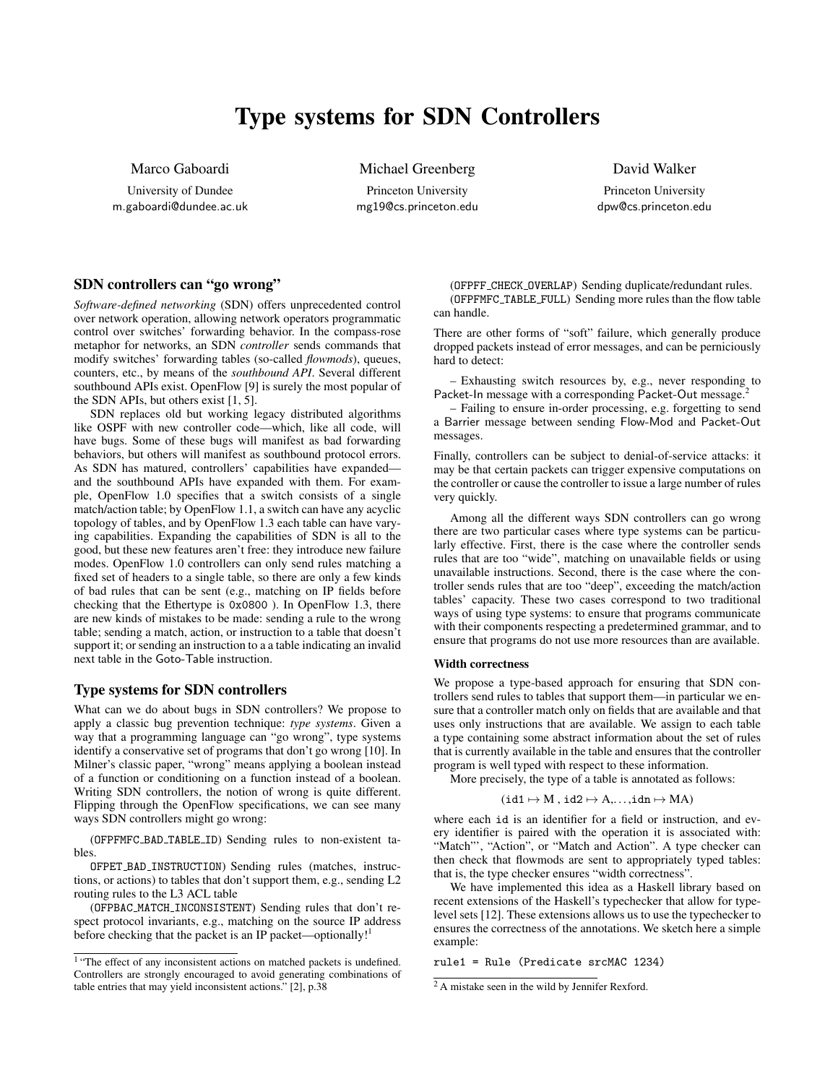# Type systems for SDN Controllers

Marco Gaboardi

University of Dundee m.gaboardi@dundee.ac.uk Michael Greenberg

Princeton University mg19@cs.princeton.edu David Walker

Princeton University dpw@cs.princeton.edu

## SDN controllers can "go wrong"

*Software-defined networking* (SDN) offers unprecedented control over network operation, allowing network operators programmatic control over switches' forwarding behavior. In the compass-rose metaphor for networks, an SDN *controller* sends commands that modify switches' forwarding tables (so-called *flowmods*), queues, counters, etc., by means of the *southbound API*. Several different southbound APIs exist. OpenFlow [\[9\]](#page-1-0) is surely the most popular of the SDN APIs, but others exist [\[1,](#page-1-1) [5\]](#page-1-2).

SDN replaces old but working legacy distributed algorithms like OSPF with new controller code—which, like all code, will have bugs. Some of these bugs will manifest as bad forwarding behaviors, but others will manifest as southbound protocol errors. As SDN has matured, controllers' capabilities have expanded and the southbound APIs have expanded with them. For example, OpenFlow 1.0 specifies that a switch consists of a single match/action table; by OpenFlow 1.1, a switch can have any acyclic topology of tables, and by OpenFlow 1.3 each table can have varying capabilities. Expanding the capabilities of SDN is all to the good, but these new features aren't free: they introduce new failure modes. OpenFlow 1.0 controllers can only send rules matching a fixed set of headers to a single table, so there are only a few kinds of bad rules that can be sent (e.g., matching on IP fields before checking that the Ethertype is 0x0800 ). In OpenFlow 1.3, there are new kinds of mistakes to be made: sending a rule to the wrong table; sending a match, action, or instruction to a table that doesn't support it; or sending an instruction to a a table indicating an invalid next table in the Goto-Table instruction.

## Type systems for SDN controllers

What can we do about bugs in SDN controllers? We propose to apply a classic bug prevention technique: *type systems*. Given a way that a programming language can "go wrong", type systems identify a conservative set of programs that don't go wrong [\[10\]](#page-1-3). In Milner's classic paper, "wrong" means applying a boolean instead of a function or conditioning on a function instead of a boolean. Writing SDN controllers, the notion of wrong is quite different. Flipping through the OpenFlow specifications, we can see many ways SDN controllers might go wrong:

(OFPFMFC BAD TABLE ID) Sending rules to non-existent tables.

OFPET BAD INSTRUCTION) Sending rules (matches, instructions, or actions) to tables that don't support them, e.g., sending L2 routing rules to the L3 ACL table

(OFPBAC MATCH INCONSISTENT) Sending rules that don't respect protocol invariants, e.g., matching on the source IP address before checking that the packet is an IP packet—optionally!<sup>[1](#page-0-0)</sup>

(OFPFF CHECK OVERLAP) Sending duplicate/redundant rules. (OFPFMFC TABLE FULL) Sending more rules than the flow table can handle.

There are other forms of "soft" failure, which generally produce dropped packets instead of error messages, and can be perniciously hard to detect:

– Exhausting switch resources by, e.g., never responding to Packet-In message with a corresponding Packet-Out message.

– Failing to ensure in-order processing, e.g. forgetting to send a Barrier message between sending Flow-Mod and Packet-Out messages.

Finally, controllers can be subject to denial-of-service attacks: it may be that certain packets can trigger expensive computations on the controller or cause the controller to issue a large number of rules very quickly.

Among all the different ways SDN controllers can go wrong there are two particular cases where type systems can be particularly effective. First, there is the case where the controller sends rules that are too "wide", matching on unavailable fields or using unavailable instructions. Second, there is the case where the controller sends rules that are too "deep", exceeding the match/action tables' capacity. These two cases correspond to two traditional ways of using type systems: to ensure that programs communicate with their components respecting a predetermined grammar, and to ensure that programs do not use more resources than are available.

#### Width correctness

We propose a type-based approach for ensuring that SDN controllers send rules to tables that support them—in particular we ensure that a controller match only on fields that are available and that uses only instructions that are available. We assign to each table a type containing some abstract information about the set of rules that is currently available in the table and ensures that the controller program is well typed with respect to these information.

More precisely, the type of a table is annotated as follows:

$$
(id1 \mapsto M \text{ , } id2 \mapsto A,\ldots, idn \mapsto MA)
$$

where each id is an identifier for a field or instruction, and every identifier is paired with the operation it is associated with: "Match"', "Action", or "Match and Action". A type checker can then check that flowmods are sent to appropriately typed tables: that is, the type checker ensures "width correctness".

We have implemented this idea as a Haskell library based on recent extensions of the Haskell's typechecker that allow for typelevel sets [\[12\]](#page-1-5). These extensions allows us to use the typechecker to ensures the correctness of the annotations. We sketch here a simple example:

rule1 = Rule (Predicate srcMAC 1234)

<span id="page-0-0"></span><sup>&</sup>lt;sup>1</sup> "The effect of any inconsistent actions on matched packets is undefined. Controllers are strongly encouraged to avoid generating combinations of table entries that may yield inconsistent actions." [\[2\]](#page-1-4), p.38

<span id="page-0-1"></span><sup>2</sup> A mistake seen in the wild by Jennifer Rexford.